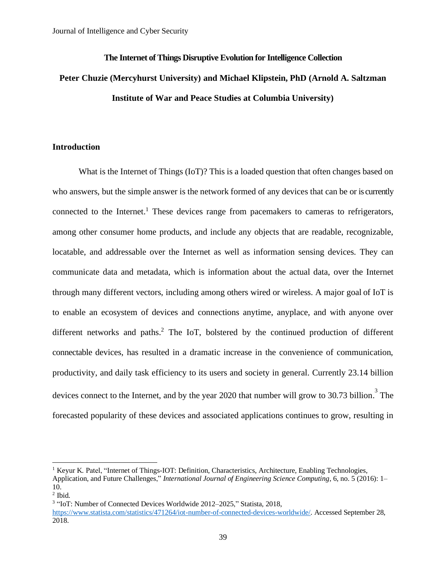## **The Internet of Things Disruptive Evolution for Intelligence Collection**

# **Peter Chuzie (Mercyhurst University) and Michael Klipstein, PhD (Arnold A. Saltzman Institute of War and Peace Studies at Columbia University)**

## **Introduction**

What is the Internet of Things (IoT)? This is a loaded question that often changes based on who answers, but the simple answer is the network formed of any devices that can be or is currently connected to the Internet.<sup>1</sup> These devices range from pacemakers to cameras to refrigerators, among other consumer home products, and include any objects that are readable, recognizable, locatable, and addressable over the Internet as well as information sensing devices. They can communicate data and metadata, which is information about the actual data, over the Internet through many different vectors, including among others wired or wireless. A major goal of IoT is to enable an ecosystem of devices and connections anytime, anyplace, and with anyone over different networks and paths. <sup>2</sup> The IoT, bolstered by the continued production of different connectable devices, has resulted in a dramatic increase in the convenience of communication, productivity, and daily task efficiency to its users and society in general. Currently 23.14 billion devices connect to the Internet, and by the year 2020 that number will grow to 30.73 billion.<sup>3</sup> The forecasted popularity of these devices and associated applications continues to grow, resulting in

<sup>&</sup>lt;sup>1</sup> Keyur K. Patel, "Internet of Things-IOT: Definition, Characteristics, Architecture, Enabling Technologies,

Application, and Future Challenges," *International Journal of Engineering Science Computing*, 6, no. 5 (2016): 1– 10.

<sup>2</sup> Ibid.

<sup>&</sup>lt;sup>3</sup> "IoT: Number of Connected Devices Worldwide 2012-2025," Statista, 2018, [https://www.statista.com/statistics/471264/iot-number-of-connected-devices-worldwide/.](https://www.statista.com/statistics/471264/iot-number-of-connected-devices-worldwide/) Accessed September 28, 2018.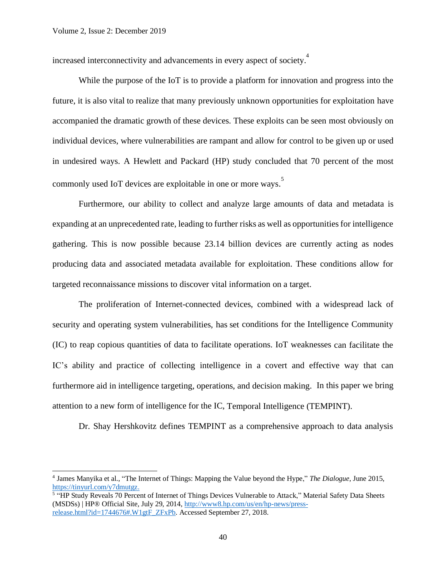increased interconnectivity and advancements in every aspect of society.<sup>4</sup>

While the purpose of the IoT is to provide a platform for innovation and progress into the future, it is also vital to realize that many previously unknown opportunities for exploitation have accompanied the dramatic growth of these devices. These exploits can be seen most obviously on individual devices, where vulnerabilities are rampant and allow for control to be given up or used in undesired ways. A Hewlett and Packard (HP) study concluded that 70 percent of the most commonly used IoT devices are exploitable in one or more ways. 5

Furthermore, our ability to collect and analyze large amounts of data and metadata is expanding at an unprecedented rate, leading to further risks as well as opportunities for intelligence gathering. This is now possible because 23.14 billion devices are currently acting as nodes producing data and associated metadata available for exploitation. These conditions allow for targeted reconnaissance missions to discover vital information on a target.

The proliferation of Internet-connected devices, combined with a widespread lack of security and operating system vulnerabilities, has set conditions for the Intelligence Community (IC) to reap copious quantities of data to facilitate operations. IoT weaknesses can facilitate the IC's ability and practice of collecting intelligence in a covert and effective way that can furthermore aid in intelligence targeting, operations, and decision making. In this paper we bring attention to a new form of intelligence for the IC, Temporal Intelligence (TEMPINT).

Dr. Shay Hershkovitz defines TEMPINT as a comprehensive approach to data analysis

<sup>4</sup> James Manyika et al., "The Internet of Things: Mapping the Value beyond the Hype," *The Dialogue*, June 2015, [https://tinyurl.com/y7dmutgz.](https://tinyurl.com/y7dmutgz)

<sup>&</sup>lt;sup>5</sup> "HP Study Reveals 70 Percent of Internet of Things Devices Vulnerable to Attack," Material Safety Data Sheets (MSDSs) | HP® Official Site, July 29, 2014, [http://www8.hp.com/us/en/hp-news/press](http://www8.hp.com/us/en/hp-news/press-release.html?id=1744676#.W1gtF_ZFxPb)[release.html?id=1744676#.W1gtF\\_ZFxPb.](http://www8.hp.com/us/en/hp-news/press-release.html?id=1744676#.W1gtF_ZFxPb) Accessed September 27, 2018.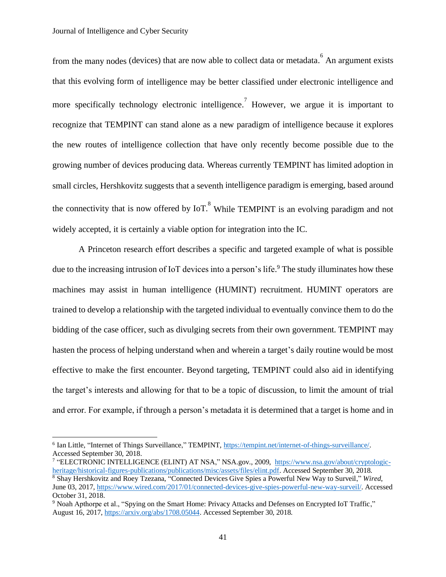from the many nodes (devices) that are now able to collect data or metadata. <sup>6</sup> An argument exists that this evolving form of intelligence may be better classified under electronic intelligence and more specifically technology electronic intelligence.<sup>7</sup> However, we argue it is important to recognize that TEMPINT can stand alone as a new paradigm of intelligence because it explores the new routes of intelligence collection that have only recently become possible due to the growing number of devices producing data. Whereas currently TEMPINT has limited adoption in small circles, Hershkovitz suggests that a seventh intelligence paradigm is emerging, based around the connectivity that is now offered by  $I\sigma T$ .<sup>8</sup> While TEMPINT is an evolving paradigm and not widely accepted, it is certainly a viable option for integration into the IC.

A Princeton research effort describes a specific and targeted example of what is possible due to the increasing intrusion of IoT devices into a person's life. <sup>9</sup> The study illuminates how these machines may assist in human intelligence (HUMINT) recruitment. HUMINT operators are trained to develop a relationship with the targeted individual to eventually convince them to do the bidding of the case officer, such as divulging secrets from their own government. TEMPINT may hasten the process of helping understand when and wherein a target's daily routine would be most effective to make the first encounter. Beyond targeting, TEMPINT could also aid in identifying the target's interests and allowing for that to be a topic of discussion, to limit the amount of trial and error. For example, if through a person's metadata it is determined that a target is home and in

<sup>&</sup>lt;sup>6</sup> Ian Little, "Internet of Things Surveillance," TEMPINT[, https://tempint.net/internet-of-things-surveillance/.](https://tempint.net/internet-of-things-surveillance/) Accessed September 30, 2018.

<sup>&</sup>lt;sup>7</sup> "ELECTRONIC INTELLIGENCE (ELINT) AT NSA," NSA.gov., 2009, [https://www.nsa.gov/about/cryptologic](https://www.nsa.gov/about/cryptologic-heritage/historical-figures-publications/publications/misc/assets/files/elint.pdf)[heritage/historical-figures-publications/publications/misc/assets/files/elint.pdf.](https://www.nsa.gov/about/cryptologic-heritage/historical-figures-publications/publications/misc/assets/files/elint.pdf) Accessed September 30, 2018. <sup>8</sup> Shay Hershkovitz and Roey Tzezana, "Connected Devices Give Spies a Powerful New Way to Surveil," *Wired*, June 03, 2017, [https://www.wired.com/2017/01/connected-devices-give-spies-powerful-new-way-surveil/.](https://www.wired.com/2017/01/connected-devices-give-spies-powerful-new-way-surveil/) Accessed October 31, 2018.

<sup>&</sup>lt;sup>9</sup> Noah Apthorpe et al., "Spying on the Smart Home: Privacy Attacks and Defenses on Encrypted IoT Traffic," August 16, 2017[, https://arxiv.org/abs/1708.05044.](https://arxiv.org/abs/1708.05044) Accessed September 30, 2018.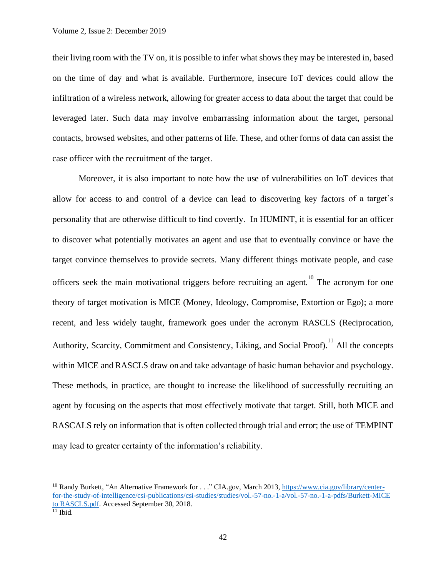their living room with the TV on, it is possible to infer what shows they may be interested in, based on the time of day and what is available. Furthermore, insecure IoT devices could allow the infiltration of a wireless network, allowing for greater access to data about the target that could be leveraged later. Such data may involve embarrassing information about the target, personal contacts, browsed websites, and other patterns of life. These, and other forms of data can assist the case officer with the recruitment of the target.

Moreover, it is also important to note how the use of vulnerabilities on IoT devices that allow for access to and control of a device can lead to discovering key factors of a target's personality that are otherwise difficult to find covertly. In HUMINT, it is essential for an officer to discover what potentially motivates an agent and use that to eventually convince or have the target convince themselves to provide secrets. Many different things motivate people, and case officers seek the main motivational triggers before recruiting an agent.<sup>10</sup> The acronym for one theory of target motivation is MICE (Money, Ideology, Compromise, Extortion or Ego); a more recent, and less widely taught, framework goes under the acronym RASCLS (Reciprocation, Authority, Scarcity, Commitment and Consistency, Liking, and Social Proof).<sup>11</sup> All the concepts within MICE and RASCLS draw on and take advantage of basic human behavior and psychology. These methods, in practice, are thought to increase the likelihood of successfully recruiting an agent by focusing on the aspects that most effectively motivate that target. Still, both MICE and RASCALS rely on information that is often collected through trial and error; the use of TEMPINT may lead to greater certainty of the information's reliability.

<sup>&</sup>lt;sup>10</sup> Randy Burkett, "An Alternative Framework for . . ." CIA.gov, March 2013, [https://www.cia.gov/library/center](https://www.cia.gov/library/center-for-the-study-of-intelligence/csi-publications/csi-studies/studies/vol.-57-no.-1-a/vol.-57-no.-1-a-pdfs/Burkett-MICE%20to%20RASCLS.pdf)[for-the-study-of-intelligence/csi-publications/csi-studies/studies/vol.-57-no.-1-a/vol.-57-no.-1-a-pdfs/Burkett-MICE](https://www.cia.gov/library/center-for-the-study-of-intelligence/csi-publications/csi-studies/studies/vol.-57-no.-1-a/vol.-57-no.-1-a-pdfs/Burkett-MICE%20to%20RASCLS.pdf)  [to RASCLS.pdf.](https://www.cia.gov/library/center-for-the-study-of-intelligence/csi-publications/csi-studies/studies/vol.-57-no.-1-a/vol.-57-no.-1-a-pdfs/Burkett-MICE%20to%20RASCLS.pdf) Accessed September 30, 2018.  $11$  Ibid.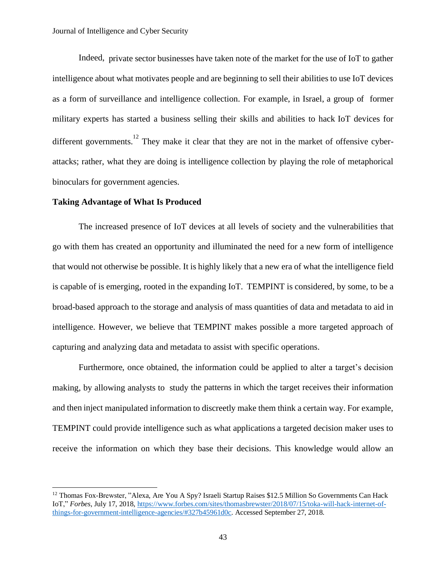Indeed, private sector businesses have taken note of the market for the use of IoT to gather intelligence about what motivates people and are beginning to sell their abilities to use IoT devices as a form of surveillance and intelligence collection. For example, in Israel, a group of former military experts has started a business selling their skills and abilities to hack IoT devices for different governments.<sup>12</sup> They make it clear that they are not in the market of offensive cyberattacks; rather, what they are doing is intelligence collection by playing the role of metaphorical binoculars for government agencies.

#### **Taking Advantage of What Is Produced**

The increased presence of IoT devices at all levels of society and the vulnerabilities that go with them has created an opportunity and illuminated the need for a new form of intelligence that would not otherwise be possible. It is highly likely that a new era of what the intelligence field is capable of is emerging, rooted in the expanding IoT. TEMPINT is considered, by some, to be a broad-based approach to the storage and analysis of mass quantities of data and metadata to aid in intelligence. However, we believe that TEMPINT makes possible a more targeted approach of capturing and analyzing data and metadata to assist with specific operations.

Furthermore, once obtained, the information could be applied to alter a target's decision making, by allowing analysts to study the patterns in which the target receives their information and then inject manipulated information to discreetly make them think a certain way. For example, TEMPINT could provide intelligence such as what applications a targeted decision maker uses to receive the information on which they base their decisions. This knowledge would allow an

<sup>&</sup>lt;sup>12</sup> Thomas Fox-Brewster, "Alexa, Are You A Spy? Israeli Startup Raises \$12.5 Million So Governments Can Hack IoT," *Forbes*, July 17, 2018, [https://www.forbes.com/sites/thomasbrewster/2018/07/15/toka-will-hack-internet-of](https://www.forbes.com/sites/thomasbrewster/2018/07/15/toka-will-hack-internet-of-things-for-government-intelligence-agencies/#327b45961d0c)[things-for-government-intelligence-agencies/#327b45961d0c.](https://www.forbes.com/sites/thomasbrewster/2018/07/15/toka-will-hack-internet-of-things-for-government-intelligence-agencies/#327b45961d0c) Accessed September 27, 2018.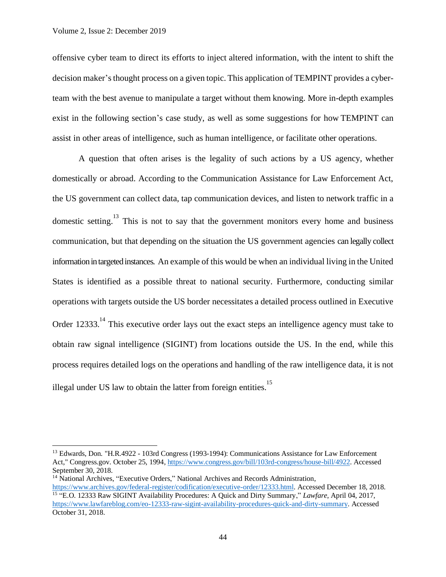offensive cyber team to direct its efforts to inject altered information, with the intent to shift the decision maker's thought process on a given topic. This application of TEMPINT provides a cyberteam with the best avenue to manipulate a target without them knowing. More in-depth examples exist in the following section's case study, as well as some suggestions for how TEMPINT can assist in other areas of intelligence, such as human intelligence, or facilitate other operations.

A question that often arises is the legality of such actions by a US agency, whether domestically or abroad. According to the Communication Assistance for Law Enforcement Act, the US government can collect data, tap communication devices, and listen to network traffic in a domestic setting.<sup>13</sup> This is not to say that the government monitors every home and business communication, but that depending on the situation the US government agencies can legally collect information in targeted instances. An example of this would be when an individual living in the United States is identified as a possible threat to national security. Furthermore, conducting similar operations with targets outside the US border necessitates a detailed process outlined in Executive Order 12333.<sup>14</sup> This executive order lays out the exact steps an intelligence agency must take to obtain raw signal intelligence (SIGINT) from locations outside the US. In the end, while this process requires detailed logs on the operations and handling of the raw intelligence data, it is not illegal under US law to obtain the latter from foreign entities.<sup>15</sup>

<sup>&</sup>lt;sup>13</sup> Edwards, Don. "H.R.4922 - 103rd Congress (1993-1994): Communications Assistance for Law Enforcement Act," Congress.gov. October 25, 1994, [https://www.congress.gov/bill/103rd-congress/house-bill/4922.](https://www.congress.gov/bill/103rd-congress/house-bill/4922) Accessed September 30, 2018.

<sup>&</sup>lt;sup>14</sup> National Archives, "Executive Orders," National Archives and Records Administration, [https://www.archives.gov/federal-register/codification/executive-order/12333.html.](https://www.archives.gov/federal-register/codification/executive-order/12333.html) Accessed December 18, 2018. 15 "E.O. 12333 Raw SIGINT Availability Procedures: A Quick and Dirty Summary," *Lawfare*, April 04, 2017, [https://www.lawfareblog.com/eo-12333-raw-sigint-availability-procedures-quick-and-dirty-summary.](https://www.lawfareblog.com/eo-12333-raw-sigint-availability-procedures-quick-and-dirty-summary) Accessed October 31, 2018.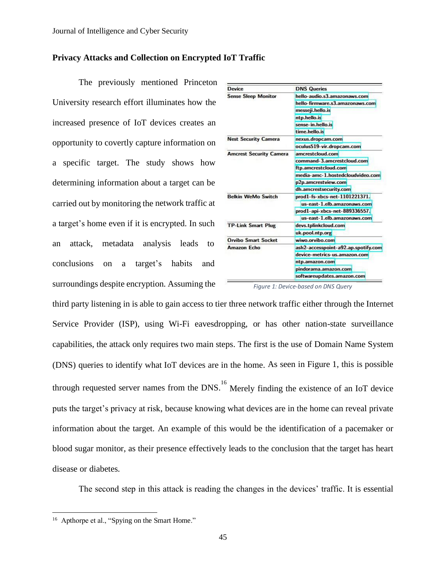## **Privacy Attacks and Collection on Encrypted IoT Traffic**

The previously mentioned Princeton University research effort illuminates how the increased presence of IoT devices creates an opportunity to covertly capture information on a specific target. The study shows how determining information about a target can be carried out by monitoring the network traffic at a target's home even if it is encrypted. In such an attack, metadata analysis leads to conclusions on a target's habits and surroundings despite encryption. Assuming the

| Device                         | <b>DNS Queries</b>                  |
|--------------------------------|-------------------------------------|
| <b>Sense Sleep Monitor</b>     | hello-audio.s3.amazonaws.com        |
|                                | hello-firmware.s3.amazonaws.com     |
|                                | messeji.hello.is                    |
|                                | ntp.hello.is                        |
|                                | sense-in.hello.is                   |
|                                | time.hello.is                       |
| <b>Nest Security Camera</b>    | nexus.dropcam.com                   |
|                                | oculus519-vir.dropcam.com           |
| <b>Amcrest Security Camera</b> | amcrestcloud.com                    |
|                                | command-3.amcrestcloud.com          |
|                                | ftp.amcrestcloud.com                |
|                                | media-amc-1.hostedcloudvideo.com    |
|                                | p2p.amcrestview.com                 |
|                                | dh.amcrestsecurity.com              |
| <b>Belkin WeMo Switch</b>      | prod1-fs-xbcs-net-1101221371.       |
|                                | us-east-1.elb.amazonaws.com         |
|                                | prod1-api-xbcs-net-889336557.       |
|                                | us-east-1.elb.amazonaws.com         |
| <b>TP-Link Smart Plug</b>      | devs.tplinkcloud.com                |
|                                | uk.pool.ntp.org                     |
| <b>Orvibo Smart Socket</b>     | wiwo.orvibo.com                     |
| Amazon Echo                    | ash2-accesspoint-a92.ap.spotify.com |
|                                | device-metrics-us.amazon.com        |
|                                | ntp.amazon.com                      |
|                                | pindorama.amazon.com                |
|                                | softwareupdates.amazon.com          |

*Figure 1: Device-based on DNS Query*

third party listening in is able to gain access to tier three network traffic either through the Internet Service Provider (ISP), using Wi-Fi eavesdropping, or has other nation-state surveillance capabilities, the attack only requires two main steps. The first is the use of Domain Name System (DNS) queries to identify what IoT devices are in the home. As seen in Figure 1, this is possible through requested server names from the DNS.<sup>16</sup> Merely finding the existence of an IoT device puts the target's privacy at risk, because knowing what devices are in the home can reveal private information about the target. An example of this would be the identification of a pacemaker or blood sugar monitor, as their presence effectively leads to the conclusion that the target has heart disease or diabetes.

The second step in this attack is reading the changes in the devices' traffic. It is essential

<sup>&</sup>lt;sup>16</sup> Apthorpe et al., "Spying on the Smart Home."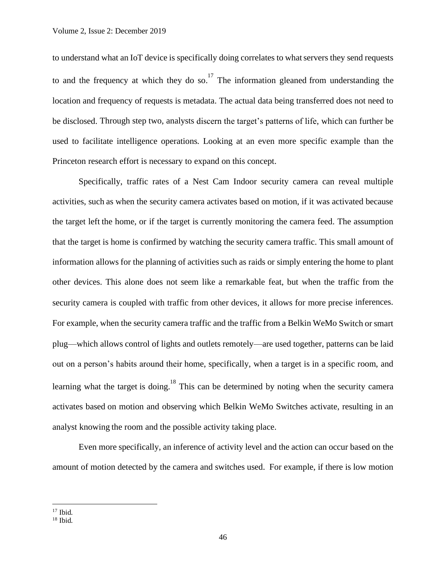to understand what an IoT device is specifically doing correlates to what servers they send requests to and the frequency at which they do so.<sup>17</sup> The information gleaned from understanding the location and frequency of requests is metadata. The actual data being transferred does not need to be disclosed. Through step two, analysts discern the target's patterns of life, which can further be used to facilitate intelligence operations. Looking at an even more specific example than the Princeton research effort is necessary to expand on this concept.

Specifically, traffic rates of a Nest Cam Indoor security camera can reveal multiple activities, such as when the security camera activates based on motion, if it was activated because the target left the home, or if the target is currently monitoring the camera feed. The assumption that the target is home is confirmed by watching the security camera traffic. This small amount of information allows for the planning of activities such as raids or simply entering the home to plant other devices. This alone does not seem like a remarkable feat, but when the traffic from the security camera is coupled with traffic from other devices, it allows for more precise inferences. For example, when the security camera traffic and the traffic from a Belkin WeMo Switch or smart plug—which allows control of lights and outlets remotely—are used together, patterns can be laid out on a person's habits around their home, specifically, when a target is in a specific room, and learning what the target is doing.<sup>18</sup> This can be determined by noting when the security camera activates based on motion and observing which Belkin WeMo Switches activate, resulting in an analyst knowing the room and the possible activity taking place.

Even more specifically, an inference of activity level and the action can occur based on the amount of motion detected by the camera and switches used. For example, if there is low motion

<sup>&</sup>lt;sup>17</sup> Ibid.

 $18$  Ibid.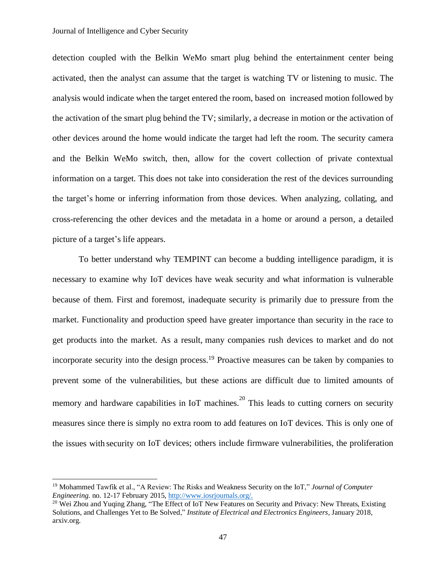detection coupled with the Belkin WeMo smart plug behind the entertainment center being activated, then the analyst can assume that the target is watching TV or listening to music. The analysis would indicate when the target entered the room, based on increased motion followed by the activation of the smart plug behind the TV; similarly, a decrease in motion or the activation of other devices around the home would indicate the target had left the room. The security camera and the Belkin WeMo switch, then, allow for the covert collection of private contextual information on a target. This does not take into consideration the rest of the devices surrounding the target's home or inferring information from those devices. When analyzing, collating, and cross-referencing the other devices and the metadata in a home or around a person, a detailed picture of a target's life appears.

To better understand why TEMPINT can become a budding intelligence paradigm, it is necessary to examine why IoT devices have weak security and what information is vulnerable because of them. First and foremost, inadequate security is primarily due to pressure from the market. Functionality and production speed have greater importance than security in the race to get products into the market. As a result, many companies rush devices to market and do not incorporate security into the design process. <sup>19</sup> Proactive measures can be taken by companies to prevent some of the vulnerabilities, but these actions are difficult due to limited amounts of memory and hardware capabilities in IoT machines.<sup>20</sup> This leads to cutting corners on security measures since there is simply no extra room to add features on IoT devices. This is only one of the issues with security on IoT devices; others include firmware vulnerabilities, the proliferation

<sup>19</sup> Mohammed Tawfik et al., "A Review: The Risks and Weakness Security on the IoT," *Journal of Computer Engineering*. no. 12-17 February 2015, [http://www.iosrjournals.org/.](http://www.iosrjournals.org/)

<sup>&</sup>lt;sup>20</sup> Wei Zhou and Yuqing Zhang, "The Effect of IoT New Features on Security and Privacy: New Threats, Existing Solutions, and Challenges Yet to Be Solved," *Institute of Electrical and Electronics Engineers*, January 2018, arxiv.org.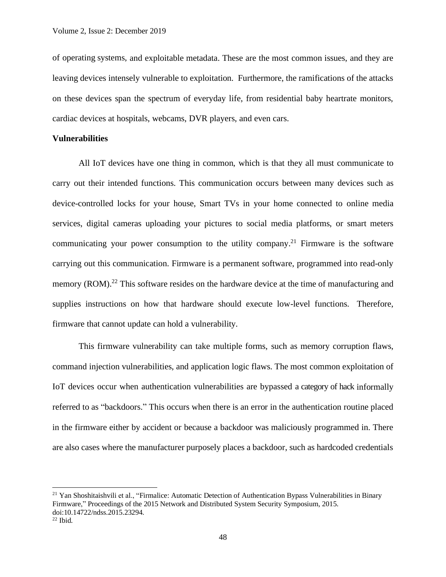of operating systems, and exploitable metadata. These are the most common issues, and they are leaving devices intensely vulnerable to exploitation. Furthermore, the ramifications of the attacks on these devices span the spectrum of everyday life, from residential baby heartrate monitors, cardiac devices at hospitals, webcams, DVR players, and even cars.

## **Vulnerabilities**

All IoT devices have one thing in common, which is that they all must communicate to carry out their intended functions. This communication occurs between many devices such as device-controlled locks for your house, Smart TVs in your home connected to online media services, digital cameras uploading your pictures to social media platforms, or smart meters communicating your power consumption to the utility company.<sup>21</sup> Firmware is the software carrying out this communication. Firmware is a permanent software, programmed into read-only memory (ROM).<sup>22</sup> This software resides on the hardware device at the time of manufacturing and supplies instructions on how that hardware should execute low-level functions. Therefore, firmware that cannot update can hold a vulnerability.

This firmware vulnerability can take multiple forms, such as memory corruption flaws, command injection vulnerabilities, and application logic flaws. The most common exploitation of IoT devices occur when authentication vulnerabilities are bypassed a category of hack informally referred to as "backdoors." This occurs when there is an error in the authentication routine placed in the firmware either by accident or because a backdoor was maliciously programmed in. There are also cases where the manufacturer purposely places a backdoor, such as hardcoded credentials

<sup>&</sup>lt;sup>21</sup> Yan Shoshitaishvili et al., "Firmalice: Automatic Detection of Authentication Bypass Vulnerabilities in Binary Firmware," Proceedings of the 2015 Network and Distributed System Security Symposium, 2015. doi:10.14722/ndss.2015.23294.

 $22$  Ibid.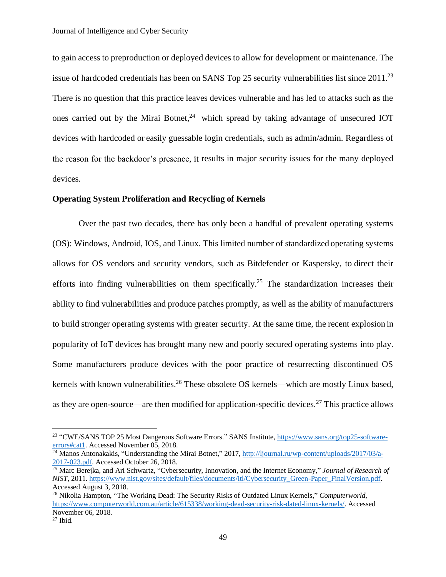to gain access to preproduction or deployed devices to allow for development or maintenance. The issue of hardcoded credentials has been on SANS Top 25 security vulnerabilities list since 2011.<sup>23</sup> There is no question that this practice leaves devices vulnerable and has led to attacks such as the ones carried out by the Mirai Botnet, $24$  which spread by taking advantage of unsecured IOT devices with hardcoded or easily guessable login credentials, such as admin/admin. Regardless of the reason for the backdoor's presence, it results in major security issues for the many deployed devices.

## **Operating System Proliferation and Recycling of Kernels**

Over the past two decades, there has only been a handful of prevalent operating systems (OS): Windows, Android, IOS, and Linux. This limited number of standardized operating systems allows for OS vendors and security vendors, such as Bitdefender or Kaspersky, to direct their efforts into finding vulnerabilities on them specifically.<sup>25</sup> The standardization increases their ability to find vulnerabilities and produce patches promptly, as well as the ability of manufacturers to build stronger operating systems with greater security. At the same time, the recent explosion in popularity of IoT devices has brought many new and poorly secured operating systems into play. Some manufacturers produce devices with the poor practice of resurrecting discontinued OS kernels with known vulnerabilities.<sup>26</sup> These obsolete OS kernels—which are mostly Linux based, as they are open-source—are then modified for application-specific devices.<sup>27</sup> This practice allows

<sup>&</sup>lt;sup>23</sup> "CWE/SANS TOP 25 Most Dangerous Software Errors." SANS Institute, [https://www.sans.org/top25-software](https://www.sans.org/top25-software-errors#cat1)[errors#cat1.](https://www.sans.org/top25-software-errors#cat1) Accessed November 05, 2018.

<sup>&</sup>lt;sup>24</sup> Manos Antonakakis, "Understanding the Mirai Botnet," 2017[, http://ljournal.ru/wp-content/uploads/2017/03/a-](http://ljournal.ru/wp-content/uploads/2017/03/a-2017-023.pdf)[2017-023.pdf.](http://ljournal.ru/wp-content/uploads/2017/03/a-2017-023.pdf) Accessed October 26, 2018.

<sup>25</sup> Marc Berejka, and Ari Schwartz, "Cybersecurity, Innovation, and the Internet Economy," *Journal of Research of NIST*, 2011[. https://www.nist.gov/sites/default/files/documents/itl/Cybersecurity\\_Green-Paper\\_FinalVersion.pdf.](https://www.nist.gov/sites/default/files/documents/itl/Cybersecurity_Green-Paper_FinalVersion.pdf) Accessed August 3, 2018.

<sup>26</sup> Nikolia Hampton, "The Working Dead: The Security Risks of Outdated Linux Kernels," *Computerworld*, [https://www.computerworld.com.au/article/615338/working-dead-security-risk-dated-linux-kernels/.](https://www.computerworld.com.au/article/615338/working-dead-security-risk-dated-linux-kernels/) Accessed November 06, 2018.

 $27$  Ibid.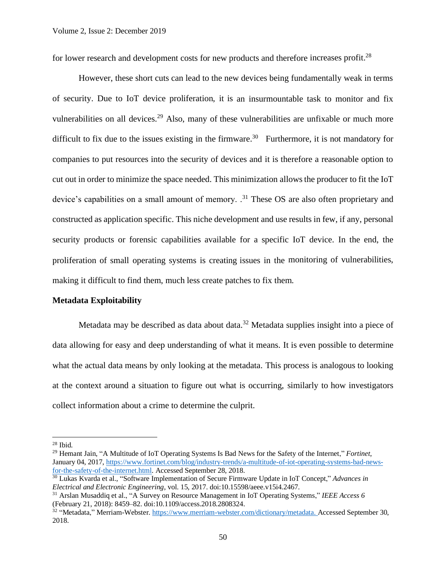for lower research and development costs for new products and therefore increases profit.<sup>28</sup>

However, these short cuts can lead to the new devices being fundamentally weak in terms of security. Due to IoT device proliferation, it is an insurmountable task to monitor and fix vulnerabilities on all devices.<sup>29</sup> Also, many of these vulnerabilities are unfixable or much more difficult to fix due to the issues existing in the firmware.<sup>30</sup> Furthermore, it is not mandatory for companies to put resources into the security of devices and it is therefore a reasonable option to cut out in order to minimize the space needed. This minimization allowsthe producer to fit the IoT device's capabilities on a small amount of memory.  $^{31}$  These OS are also often proprietary and constructed as application specific. This niche development and use results in few, if any, personal security products or forensic capabilities available for a specific IoT device. In the end, the proliferation of small operating systems is creating issues in the monitoring of vulnerabilities, making it difficult to find them, much less create patches to fix them.

#### **Metadata Exploitability**

Metadata may be described as data about data.<sup>32</sup> Metadata supplies insight into a piece of data allowing for easy and deep understanding of what it means. It is even possible to determine what the actual data means by only looking at the metadata. This process is analogous to looking at the context around a situation to figure out what is occurring, similarly to how investigators collect information about a crime to determine the culprit.

 $28$  Ibid.

<sup>29</sup> Hemant Jain, "A Multitude of IoT Operating Systems Is Bad News for the Safety of the Internet," *Fortinet*, January 04, 2017, [https://www.fortinet.com/blog/industry-trends/a-multitude-of-iot-operating-systems-bad-news](https://www.fortinet.com/blog/industry-trends/a-multitude-of-iot-operating-systems-bad-news-for-the-safety-of-the-internet.html)[for-the-safety-of-the-internet.html.](https://www.fortinet.com/blog/industry-trends/a-multitude-of-iot-operating-systems-bad-news-for-the-safety-of-the-internet.html) Accessed September 28, 2018.

<sup>30</sup> Lukas Kvarda et al., "Software Implementation of Secure Firmware Update in IoT Concept," *Advances in Electrical and Electronic Engineering*, vol. 15, 2017. doi:10.15598/aeee.v15i4.2467.

<sup>31</sup> Arslan Musaddiq et al., "A Survey on Resource Management in IoT Operating Systems," *IEEE Access 6* (February 21, 2018): 8459–82. doi:10.1109/access.2018.2808324.

<sup>&</sup>lt;sup>32</sup> "Metadata," Merriam-Webster[. https://www.merriam-webster.com/dictionary/metadata.](https://www.merriam-webster.com/dictionary/metadata) Accessed September 30, 2018.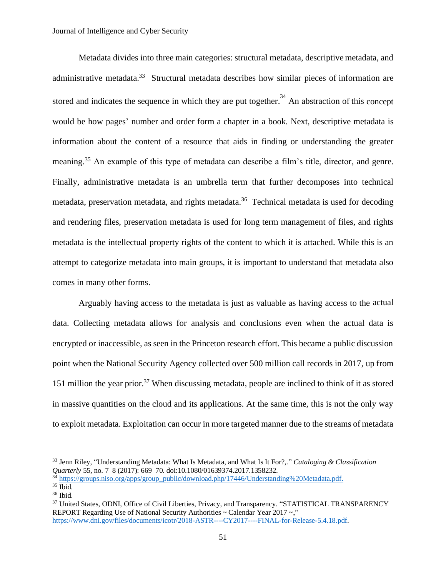Metadata divides into three main categories: structural metadata, descriptive metadata, and administrative metadata.<sup>33</sup> Structural metadata describes how similar pieces of information are stored and indicates the sequence in which they are put together.<sup>34</sup> An abstraction of this concept would be how pages' number and order form a chapter in a book. Next, descriptive metadata is information about the content of a resource that aids in finding or understanding the greater meaning.<sup>35</sup> An example of this type of metadata can describe a film's title, director, and genre. Finally, administrative metadata is an umbrella term that further decomposes into technical metadata, preservation metadata, and rights metadata.<sup>36</sup> Technical metadata is used for decoding and rendering files, preservation metadata is used for long term management of files, and rights metadata is the intellectual property rights of the content to which it is attached. While this is an attempt to categorize metadata into main groups, it is important to understand that metadata also comes in many other forms.

Arguably having access to the metadata is just as valuable as having access to the actual data. Collecting metadata allows for analysis and conclusions even when the actual data is encrypted or inaccessible, as seen in the Princeton research effort. This became a public discussion point when the National Security Agency collected over 500 million call records in 2017, up from 151 million the year prior. <sup>37</sup> When discussing metadata, people are inclined to think of it as stored in massive quantities on the cloud and its applications. At the same time, this is not the only way to exploit metadata. Exploitation can occur in more targeted manner due to the streams of metadata

<sup>33</sup> Jenn Riley, "Understanding Metadata: What Is Metadata, and What Is It For?,." *Cataloging & Classification Quarterly* 55, no. 7–8 (2017): 669–70. doi:10.1080/01639374.2017.1358232.

<sup>&</sup>lt;sup>34</sup> [https://groups.niso.org/apps/group\\_public/download.php/17446/Understanding%20Metadata.pdf.](https://groups.niso.org/apps/group_public/download.php/17446/Understanding%20Metadata.pdf)

<sup>35</sup> Ibid.

 $36$  Ibid.

<sup>&</sup>lt;sup>37</sup> United States, ODNI, Office of Civil Liberties, Privacy, and Transparency. "STATISTICAL TRANSPARENCY REPORT Regarding Use of National Security Authorities ~ Calendar Year 2017 ~," [https://www.dni.gov/files/documents/icotr/2018-ASTR----CY2017----FINAL-for-Release-5.4.18.pdf.](https://www.dni.gov/files/documents/icotr/2018-ASTR----CY2017----FINAL-for-Release-5.4.18.pdf)